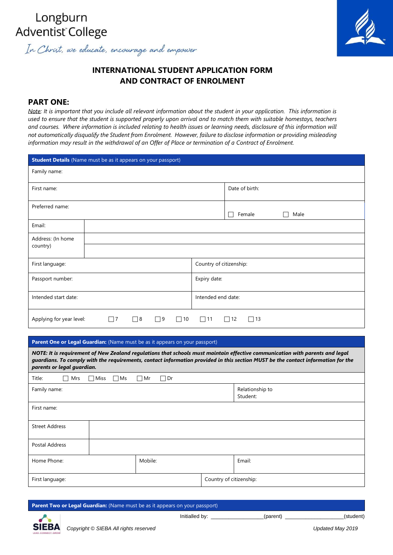# In Christ, we educate, encourage and empower

## **INTERNATIONAL STUDENT APPLICATION FORM AND CONTRACT OF ENROLMENT**

## **PART ONE:**

*Note: It is important that you include all relevant information about the student in your application. This information is used to ensure that the student is supported properly upon arrival and to match them with suitable homestays, teachers and courses. Where information is included relating to health issues or learning needs, disclosure of this information will not automatically disqualify the Student from Enrolment. However, failure to disclose information or providing misleading information may result in the withdrawal of an Offer of Place or termination of a Contract of Enrolment.* 

|                          | <b>Student Details</b> (Name must be as it appears on your passport) |                                      |
|--------------------------|----------------------------------------------------------------------|--------------------------------------|
| Family name:             |                                                                      |                                      |
| First name:              |                                                                      | Date of birth:                       |
| Preferred name:          |                                                                      |                                      |
|                          |                                                                      | Female<br>Male                       |
| Email:                   |                                                                      |                                      |
| Address: (In home        |                                                                      |                                      |
| country)                 |                                                                      |                                      |
| First language:          |                                                                      | Country of citizenship:              |
| Passport number:         |                                                                      | Expiry date:                         |
| Intended start date:     |                                                                      | Intended end date:                   |
|                          |                                                                      |                                      |
| Applying for year level: | $\Box$ 8<br>$\Box$ 9<br>$\Box$ 7<br>10<br>$\mathcal{L}$              | $\square$ 11<br>$\sqsupset$ 12<br>13 |

## Parent One or Legal Guardian: (Name must be as it appears on your passport)

*NOTE: It is requirement of New Zealand regulations that schools must maintain effective communication with parents and legal guardians. To comply with the requirements, contact information provided in this section MUST be the contact information for the parents or legal guardian.*

| Title:<br>$\Box$<br>$\Box$ Miss<br>Mrs | $\Box$ Ms<br>$\Box$ Mr<br>$\Box$ Dr |                             |  |  |
|----------------------------------------|-------------------------------------|-----------------------------|--|--|
| Family name:                           |                                     | Relationship to<br>Student: |  |  |
| First name:                            |                                     |                             |  |  |
| <b>Street Address</b>                  |                                     |                             |  |  |
| Postal Address                         |                                     |                             |  |  |
| Home Phone:                            | Mobile:                             | Email:                      |  |  |
| First language:                        |                                     | Country of citizenship:     |  |  |

**Parent Two or Legal Guardian:** (Name must be as it appears on your passport)



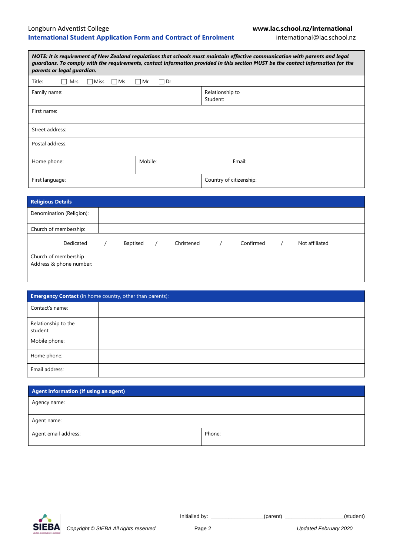## Longburn Adventist College **www.lac.school.nz/international International Student Application Form and Contract of Enrolment** international@lac.school.nz

| NOTE: It is requirement of New Zealand requlations that schools must maintain effective communication with parents and legal<br>guardians. To comply with the requirements, contact information provided in this section MUST be the contact information for the<br>parents or legal guardian. |                   |                 |                             |                         |  |
|------------------------------------------------------------------------------------------------------------------------------------------------------------------------------------------------------------------------------------------------------------------------------------------------|-------------------|-----------------|-----------------------------|-------------------------|--|
| Title:<br>Mrs                                                                                                                                                                                                                                                                                  | $\Box$ Ms<br>Miss | $\Box$ Dr<br>Mr |                             |                         |  |
| Family name:                                                                                                                                                                                                                                                                                   |                   |                 | Relationship to<br>Student: |                         |  |
| First name:                                                                                                                                                                                                                                                                                    |                   |                 |                             |                         |  |
| Street address:                                                                                                                                                                                                                                                                                |                   |                 |                             |                         |  |
| Postal address:                                                                                                                                                                                                                                                                                |                   |                 |                             |                         |  |
| Home phone:                                                                                                                                                                                                                                                                                    |                   | Mobile:         |                             | Email:                  |  |
| First language:                                                                                                                                                                                                                                                                                |                   |                 |                             | Country of citizenship: |  |

| <b>Religious Details</b>                        |          |            |           |                |
|-------------------------------------------------|----------|------------|-----------|----------------|
| Denomination (Religion):                        |          |            |           |                |
| Church of membership:                           |          |            |           |                |
| Dedicated                                       | Baptised | Christened | Confirmed | Not affiliated |
| Church of membership<br>Address & phone number: |          |            |           |                |

| <b>Emergency Contact</b> (In home country, other than parents): |  |  |  |  |
|-----------------------------------------------------------------|--|--|--|--|
| Contact's name:                                                 |  |  |  |  |
| Relationship to the<br>student:                                 |  |  |  |  |
| Mobile phone:                                                   |  |  |  |  |
| Home phone:                                                     |  |  |  |  |
| Email address:                                                  |  |  |  |  |

| Agent Information (If using an agent) |        |
|---------------------------------------|--------|
| Agency name:                          |        |
|                                       |        |
| Agent name:                           |        |
| Agent email address:                  | Phone: |

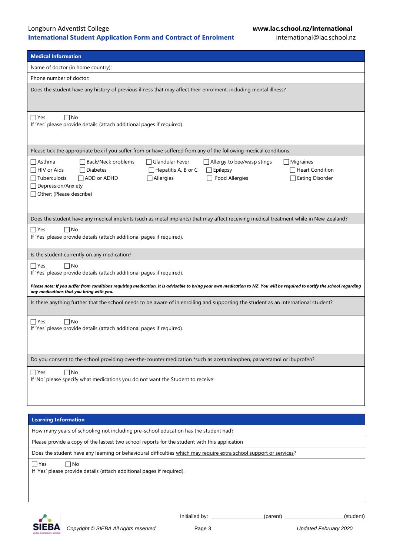## Longburn Adventist College **www.lac.school.nz/international International Student Application Form and Contract of Enrolment** international@lac.school.nz

| <b>Medical Information</b>                                                                                                                                                                                           |  |  |  |  |
|----------------------------------------------------------------------------------------------------------------------------------------------------------------------------------------------------------------------|--|--|--|--|
| Name of doctor (in home country):                                                                                                                                                                                    |  |  |  |  |
| Phone number of doctor:                                                                                                                                                                                              |  |  |  |  |
| Does the student have any history of previous illness that may affect their enrolment, including mental illness?                                                                                                     |  |  |  |  |
|                                                                                                                                                                                                                      |  |  |  |  |
| $\sqcap$ Yes<br>$\Box$ No<br>If 'Yes' please provide details (attach additional pages if required).                                                                                                                  |  |  |  |  |
|                                                                                                                                                                                                                      |  |  |  |  |
| Please tick the appropriate box if you suffer from or have suffered from any of the following medical conditions:                                                                                                    |  |  |  |  |
| $\Box$ Asthma<br>Back/Neck problems<br>□ Glandular Fever<br>$\Box$ Allergy to bee/wasp stings<br>$\Box$ Migraines                                                                                                    |  |  |  |  |
| $\Box$ HIV or Aids<br>$\Box$ Diabetes<br>$\Box$ Hepatitis A, B or C<br>$\Box$ Epilepsy<br>$\sqcap$ Heart Condition                                                                                                   |  |  |  |  |
| ⊤uberculosis<br>ADD or ADHD<br>$\Box$ Allergies<br>Food Allergies<br>Eating Disorder                                                                                                                                 |  |  |  |  |
| □ Depression/Anxiety                                                                                                                                                                                                 |  |  |  |  |
| Other: (Please describe)                                                                                                                                                                                             |  |  |  |  |
|                                                                                                                                                                                                                      |  |  |  |  |
| Does the student have any medical implants (such as metal implants) that may affect receiving medical treatment while in New Zealand?                                                                                |  |  |  |  |
| $\Box$ Yes<br>∏No                                                                                                                                                                                                    |  |  |  |  |
| If 'Yes' please provide details (attach additional pages if required).                                                                                                                                               |  |  |  |  |
|                                                                                                                                                                                                                      |  |  |  |  |
| Is the student currently on any medication?                                                                                                                                                                          |  |  |  |  |
| $\Box$ Yes<br>$\Box$ No<br>If 'Yes' please provide details (attach additional pages if required).                                                                                                                    |  |  |  |  |
|                                                                                                                                                                                                                      |  |  |  |  |
| Please note: If you suffer from conditions requiring medication, it is advisable to bring your own medication to NZ. You will be required to notify the school regarding<br>any medications that you bring with you. |  |  |  |  |
| Is there anything further that the school needs to be aware of in enrolling and supporting the student as an international student?                                                                                  |  |  |  |  |
| $\Box$ Yes<br>$\Box$ No                                                                                                                                                                                              |  |  |  |  |
| If 'Yes' please provide details (attach additional pages if required).                                                                                                                                               |  |  |  |  |
|                                                                                                                                                                                                                      |  |  |  |  |
|                                                                                                                                                                                                                      |  |  |  |  |
| Do you consent to the school providing over-the-counter medication *such as acetaminophen, paracetamol or ibuprofen?                                                                                                 |  |  |  |  |
| $\Box$ No<br>$\Box$ Yes                                                                                                                                                                                              |  |  |  |  |
| If 'No' please specify what medications you do not want the Student to receive:                                                                                                                                      |  |  |  |  |
|                                                                                                                                                                                                                      |  |  |  |  |
|                                                                                                                                                                                                                      |  |  |  |  |
| <b>Learning Information</b>                                                                                                                                                                                          |  |  |  |  |
|                                                                                                                                                                                                                      |  |  |  |  |
| How many years of schooling not including pre-school education has the student had?                                                                                                                                  |  |  |  |  |
| Please provide a copy of the lastest two school reports for the student with this application                                                                                                                        |  |  |  |  |

Does the student have any learning or behavioural difficulties which may require extra school support or services?

■ Yes No

If 'Yes' please provide details (attach additional pages if required).

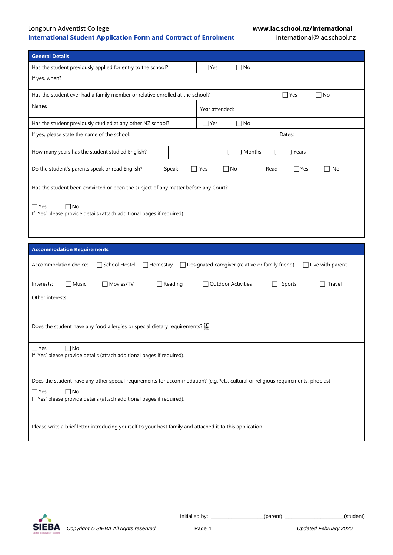## Longburn Adventist College **www.lac.school.nz/international International Student Application Form and Contract of Enrolment**

| <b>General Details</b>                                                                                                          |                                                                               |  |  |  |
|---------------------------------------------------------------------------------------------------------------------------------|-------------------------------------------------------------------------------|--|--|--|
| Has the student previously applied for entry to the school?                                                                     | $\Box$ No<br>$\sqcap$ Yes                                                     |  |  |  |
| If yes, when?                                                                                                                   |                                                                               |  |  |  |
| Has the student ever had a family member or relative enrolled at the school?<br>$\Box$ No<br>$\Box$ Yes                         |                                                                               |  |  |  |
| Name:                                                                                                                           | Year attended:                                                                |  |  |  |
| Has the student previously studied at any other NZ school?                                                                      | $\bigcap$ Yes<br>$\Box$ No                                                    |  |  |  |
| If yes, please state the name of the school:                                                                                    | Dates:                                                                        |  |  |  |
| How many years has the student studied English?                                                                                 | ] Months<br>$\Gamma$<br>  Years<br>$\Gamma$                                   |  |  |  |
| Do the student's parents speak or read English?<br>Speak                                                                        | $\Box$ Yes<br>$\Box$ No<br>Read<br>$\Box$ Yes<br>No                           |  |  |  |
| Has the student been convicted or been the subject of any matter before any Court?                                              |                                                                               |  |  |  |
| $\Box$ Yes<br>$\Box$ No<br>If 'Yes' please provide details (attach additional pages if required).                               |                                                                               |  |  |  |
|                                                                                                                                 |                                                                               |  |  |  |
| <b>Accommodation Requirements</b>                                                                                               |                                                                               |  |  |  |
| Accommodation choice:<br>School Hostel<br>$\Box$ Homestay                                                                       | □ Designated caregiver (relative or family friend)<br>$\Box$ Live with parent |  |  |  |
| $\Box$ Music<br>$\Box$ Reading<br>Interests:<br><b>□ Movies/TV</b>                                                              | □ Outdoor Activities<br>Sports<br>Travel                                      |  |  |  |
| Other interests:                                                                                                                |                                                                               |  |  |  |
| Does the student have any food allergies or special dietary requirements? $\frac{1}{2}$                                         |                                                                               |  |  |  |
| $\exists$ Yes<br>$\n  1$ No<br>If 'Yes' please provide details (attach additional pages if required).                           |                                                                               |  |  |  |
| Does the student have any other special requirements for accommodation? (e.g.Pets, cultural or religious requirements, phobias) |                                                                               |  |  |  |
| ∩No<br>$\Box$ Yes<br>If 'Yes' please provide details (attach additional pages if required).                                     |                                                                               |  |  |  |

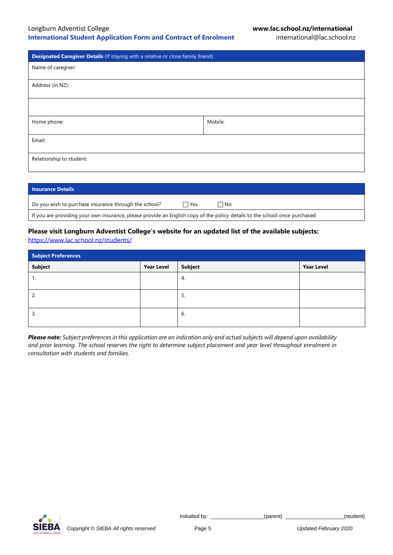| Designated Caregiver Details (If staying with a relative or close family friend) |         |  |  |  |
|----------------------------------------------------------------------------------|---------|--|--|--|
| Name of caregiver:                                                               |         |  |  |  |
| Address (in NZ):                                                                 |         |  |  |  |
|                                                                                  |         |  |  |  |
| Home phone:                                                                      | Mobile: |  |  |  |
| Email:                                                                           |         |  |  |  |
| Relationship to student:                                                         |         |  |  |  |

| <b>Insurance Details</b>                                                                                                   |      |     |  |
|----------------------------------------------------------------------------------------------------------------------------|------|-----|--|
| Do you wish to purchase insurance through the school?                                                                      | ∃Yes | ∃No |  |
| If you are providing your own insurance, please provide an English copy of the policy details to the school once purchased |      |     |  |

## **Please visit Longburn Adventist College's website for an updated list of the available subjects:**

<https://www.lac.school.nz/students/>

| <b>Subject Preferences</b> |                   |         |                   |
|----------------------------|-------------------|---------|-------------------|
| <b>Subject</b>             | <b>Year Level</b> | Subject | <b>Year Level</b> |
| . .                        |                   | 4.      |                   |
| Z.                         |                   | 5.      |                   |
| 3.                         |                   | 6.      |                   |

*Please note: Subject preferences in this application are an indication only and actual subjects will depend upon availability and prior learning. The school reserves the right to determine subject placement and year level throughout enrolment in consultation with students and families.* 

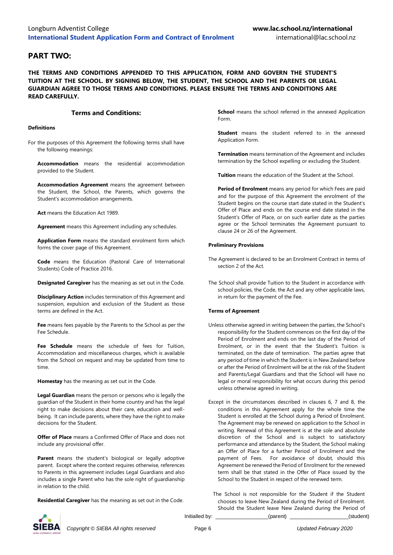## **PART TWO:**

**THE TERMS AND CONDITIONS APPENDED TO THIS APPLICATION, FORM AND GOVERN THE STUDENT'S TUITION AT THE SCHOOL. BY SIGNING BELOW, THE STUDENT, THE SCHOOL AND THE PARENTS OR LEGAL GUARDIAN AGREE TO THOSE TERMS AND CONDITIONS. PLEASE ENSURE THE TERMS AND CONDITIONS ARE READ CAREFULLY.**

### **Terms and Conditions:**

#### **Definitions**

For the purposes of this Agreement the following terms shall have the following meanings:

**Accommodation** means the residential accommodation provided to the Student.

**Accommodation Agreement** means the agreement between the Student, the School, the Parents, which governs the Student's accommodation arrangements.

**Act** means the Education Act 1989.

**Agreement** means this Agreement including any schedules.

**Application Form** means the standard enrolment form which forms the cover page of this Agreement.

**Code** means the Education (Pastoral Care of International Students) Code of Practice 2016.

**Designated Caregiver** has the meaning as set out in the Code.

**Disciplinary Action** includes termination of this Agreement and suspension, expulsion and exclusion of the Student as those terms are defined in the Act.

**Fee** means fees payable by the Parents to the School as per the Fee Schedule.

**Fee Schedule** means the schedule of fees for Tuition, Accommodation and miscellaneous charges, which is available from the School on request and may be updated from time to time.

**Homestay** has the meaning as set out in the Code.

**Legal Guardian** means the person or persons who is legally the guardian of the Student in their home country and has the legal right to make decisions about their care, education and wellbeing. It can include parents, where they have the right to make decisions for the Student.

**Offer of Place** means a Confirmed Offer of Place and does not include any provisional offer.

Parent means the student's biological or legally adoptive parent. Except where the context requires otherwise, references to Parents in this agreement includes Legal Guardians and also includes a single Parent who has the sole right of guardianship in relation to the child.

**Residential Caregiver** has the meaning as set out in the Code.

**School** means the school referred in the annexed Application Form.

**Student** means the student referred to in the annexed Application Form.

**Termination** means termination of the Agreement and includes termination by the School expelling or excluding the Student.

**Tuition** means the education of the Student at the School.

**Period of Enrolment** means any period for which Fees are paid and for the purpose of this Agreement the enrolment of the Student begins on the course start date stated in the Student's Offer of Place and ends on the course end date stated in the Student's Offer of Place, or on such earlier date as the parties agree or the School terminates the Agreement pursuant to clause 24 or 26 of the Agreement.

#### **Preliminary Provisions**

- The Agreement is declared to be an Enrolment Contract in terms of section 2 of the Act.
- The School shall provide Tuition to the Student in accordance with school policies, the Code, the Act and any other applicable laws, in return for the payment of the Fee.

#### **Terms of Agreement**

- Unless otherwise agreed in writing between the parties, the School's responsibility for the Student commences on the first day of the Period of Enrolment and ends on the last day of the Period of Enrolment, or in the event that the Student's Tuition is terminated, on the date of termination. The parties agree that any period of time in which the Student is in New Zealand before or after the Period of Enrolment will be at the risk of the Student and Parents/Legal Guardians and that the School will have no legal or moral responsibility for what occurs during this period unless otherwise agreed in writing.
- Except in the circumstances described in clauses 6, 7 and 8, the conditions in this Agreement apply for the whole time the Student is enrolled at the School during a Period of Enrolment. The Agreement may be renewed on application to the School in writing. Renewal of this Agreement is at the sole and absolute discretion of the School and is subject to satisfactory performance and attendance by the Student, the School making an Offer of Place for a further Period of Enrolment and the payment of Fees. For avoidance of doubt, should this Agreement be renewed the Period of Enrolment for the renewed term shall be that stated in the Offer of Place issued by the School to the Student in respect of the renewed term.

Initialled by: \_\_\_\_\_\_\_\_\_\_\_\_\_\_\_\_\_\_(parent) \_\_\_\_\_\_\_\_\_\_\_\_\_\_\_\_\_\_\_\_(student) The School is not responsible for the Student if the Student chooses to leave New Zealand during the Period of Enrolment. Should the Student leave New Zealand during the Period of



*Copyright © SIEBA All rights reserved* Page 6 *Updated February 2020*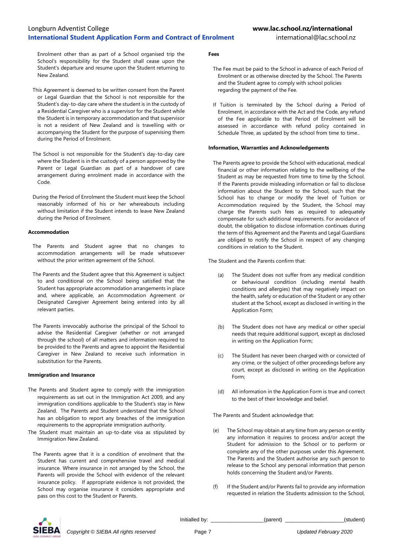Enrolment other than as part of a School organised trip the School's responsibility for the Student shall cease upon the Student's departure and resume upon the Student returning to New Zealand.

- This Agreement is deemed to be written consent from the Parent or Legal Guardian that the School is not responsible for the Student's day-to-day care where the student is in the custody of a Residential Caregiver who is a supervisor for the Student while the Student is in temporary accommodation and that supervisor is not a resident of New Zealand and is travelling with or accompanying the Student for the purpose of supervising them during the Period of Enrolment.
- The School is not responsible for the Student's day-to-day care where the Student is in the custody of a person approved by the Parent or Legal Guardian as part of a handover of care arrangement during enrolment made in accordance with the Code.
- During the Period of Enrolment the Student must keep the School reasonably informed of his or her whereabouts including without limitation if the Student intends to leave New Zealand during the Period of Enrolment.

#### **Accommodation**

- The Parents and Student agree that no changes to accommodation arrangements will be made whatsoever without the prior written agreement of the School.
- The Parents and the Student agree that this Agreement is subject to and conditional on the School being satisfied that the Student has appropriate accommodation arrangements in place and, where applicable, an Accommodation Agreement or Designated Caregiver Agreement being entered into by all relevant parties.
- The Parents irrevocably authorise the principal of the School to advise the Residential Caregiver (whether or not arranged through the school) of all matters and information required to be provided to the Parents and agree to appoint the Residential Caregiver in New Zealand to receive such information in substitution for the Parents.

#### **Immigration and Insurance**

- The Parents and Student agree to comply with the immigration requirements as set out in the Immigration Act 2009, and any immigration conditions applicable to the Student's stay in New Zealand. The Parents and Student understand that the School has an obligation to report any breaches of the immigration requirements to the appropriate immigration authority.
- The Student must maintain an up-to-date visa as stipulated by Immigration New Zealand.
- The Parents agree that it is a condition of enrolment that the Student has current and comprehensive travel and medical insurance. Where insurance in not arranged by the School, the Parents will provide the School with evidence of the relevant insurance policy. If appropriate evidence is not provided, the School may organise insurance it considers appropriate and pass on this cost to the Student or Parents.

#### **Fees**

- The Fee must be paid to the School in advance of each Period of Enrolment or as otherwise directed by the School. The Parents and the Student agree to comply with school policies regarding the payment of the Fee.
- If Tuition is terminated by the School during a Period of Enrolment, in accordance with the Act and the Code, any refund of the Fee applicable to that Period of Enrolment will be assessed in accordance with refund policy contained in Schedule Three, as updated by the school from time to time..

#### **Information, Warranties and Acknowledgements**

The Parents agree to provide the School with educational, medical financial or other information relating to the wellbeing of the Student as may be requested from time to time by the School. If the Parents provide misleading information or fail to disclose information about the Student to the School, such that the School has to change or modify the level of Tuition or Accommodation required by the Student, the School may charge the Parents such fees as required to adequately compensate for such additional requirements. For avoidance of doubt, the obligation to disclose information continues during the term of this Agreement and the Parents and Legal Guardians are obliged to notify the School in respect of any changing conditions in relation to the Student.

The Student and the Parents confirm that:

- (a) The Student does not suffer from any medical condition or behavioural condition (including mental health conditions and allergies) that may negatively impact on the health, safety or education of the Student or any other student at the School, except as disclosed in writing in the Application Form;
- (b) The Student does not have any medical or other special needs that require additional support, except as disclosed in writing on the Application Form;
- (c) The Student has never been charged with or convicted of any crime, or the subject of other proceedings before any court, except as disclosed in writing on the Application Form;
- (d) All information in the Application Form is true and correct to the best of their knowledge and belief.

The Parents and Student acknowledge that:

- (e) The School may obtain at any time from any person or entity any information it requires to process and/or accept the Student for admission to the School or to perform or complete any of the other purposes under this Agreement. The Parents and the Student authorise any such person to release to the School any personal information that person holds concerning the Student and/or Parents.
- If the Student and/or Parents fail to provide any information requested in relation the Students admission to the School,

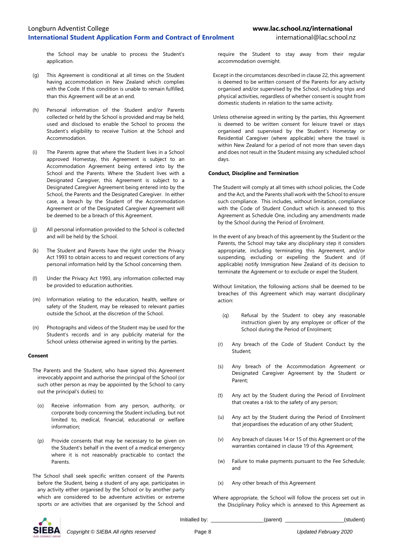the School may be unable to process the Student's application.

- (g) This Agreement is conditional at all times on the Student having accommodation in New Zealand which complies with the Code. If this condition is unable to remain fulfilled, than this Agreement will be at an end.
- (h) Personal information of the Student and/or Parents collected or held by the School is provided and may be held, used and disclosed to enable the School to process the Student's eligibility to receive Tuition at the School and Accommodation.
- (i) The Parents agree that where the Student lives in a School approved Homestay, this Agreement is subject to an Accommodation Agreement being entered into by the School and the Parents. Where the Student lives with a Designated Caregiver, this Agreement is subject to a Designated Caregiver Agreement being entered into by the School, the Parents and the Designated Caregiver. In either case, a breach by the Student of the Accommodation Agreement or of the Designated Caregiver Agreement will be deemed to be a breach of this Agreement.
- (j) All personal information provided to the School is collected and will be held by the School.
- (k) The Student and Parents have the right under the Privacy Act 1993 to obtain access to and request corrections of any personal information held by the School concerning them.
- (l) Under the Privacy Act 1993, any information collected may be provided to education authorities.
- (m) Information relating to the education, health, welfare or safety of the Student, may be released to relevant parties outside the School, at the discretion of the School.
- (n) Photographs and videos of the Student may be used for the Student's records and in any publicity material for the School unless otherwise agreed in writing by the parties.

#### **Consent**

- The Parents and the Student, who have signed this Agreement irrevocably appoint and authorise the principal of the School (or such other person as may be appointed by the School to carry out the principal's duties) to:
	- (o) Receive information from any person, authority, or corporate body concerning the Student including, but not limited to, medical, financial, educational or welfare information;
	- (p) Provide consents that may be necessary to be given on the Student's behalf in the event of a medical emergency where it is not reasonably practicable to contact the Parents.
- The School shall seek specific written consent of the Parents before the Student, being a student of any age, participates in any activity either organised by the School or by another party which are considered to be adventure activities or extreme sports or are activities that are organised by the School and

require the Student to stay away from their regular accommodation overnight.

- Except in the circumstances described in clause 22, this agreement is deemed to be written consent of the Parents for any activity organised and/or supervised by the School, including trips and physical activities, regardless of whether consent is sought from domestic students in relation to the same activity.
- Unless otherwise agreed in writing by the parties, this Agreement is deemed to be written consent for leisure travel or stays organised and supervised by the Student's Homestay or Residential Caregiver (where applicable) where the travel is within New Zealand for a period of not more than seven days and does not result in the Student missing any scheduled school days.

#### **Conduct, Discipline and Termination**

- The Student will comply at all times with school policies, the Code and the Act, and the Parents shall work with the School to ensure such compliance. This includes, without limitation, compliance with the Code of Student Conduct which is annexed to this Agreement as Schedule One, including any amendments made by the School during the Period of Enrolment.
- In the event of any breach of this agreement by the Student or the Parents, the School may take any disciplinary step it considers appropriate, including terminating this Agreement, and/or suspending, excluding or expelling the Student and (if applicable) notify Immigration New Zealand of its decision to terminate the Agreement or to exclude or expel the Student.
- Without limitation, the following actions shall be deemed to be breaches of this Agreement which may warrant disciplinary action:
	- (q) Refusal by the Student to obey any reasonable instruction given by any employee or officer of the School during the Period of Enrolment;
	- (r) Any breach of the Code of Student Conduct by the Student;
	- (s) Any breach of the Accommodation Agreement or Designated Caregiver Agreement by the Student or Parent;
	- (t) Any act by the Student during the Period of Enrolment that creates a risk to the safety of any person;
	- (u) Any act by the Student during the Period of Enrolment that jeopardises the education of any other Student;
	- (v) Any breach of clauses 14 or 15 of this Agreement or of the warranties contained in clause 19 of this Agreement;
- (w) Failure to make payments pursuant to the Fee Schedule; and
- (x) Any other breach of this Agreement

Where appropriate, the School will follow the process set out in the Disciplinary Policy which is annexed to this Agreement as



*Copyright © SIEBA All rights reserved* Page 8 *Updated February 2020*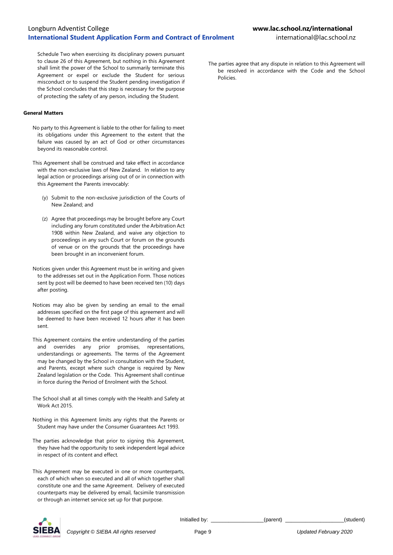Schedule Two when exercising its disciplinary powers pursuant to clause 26 of this Agreement, but nothing in this Agreement shall limit the power of the School to summarily terminate this Agreement or expel or exclude the Student for serious misconduct or to suspend the Student pending investigation if the School concludes that this step is necessary for the purpose of protecting the safety of any person, including the Student.

#### **General Matters**

- No party to this Agreement is liable to the other for failing to meet its obligations under this Agreement to the extent that the failure was caused by an act of God or other circumstances beyond its reasonable control.
- This Agreement shall be construed and take effect in accordance with the non-exclusive laws of New Zealand. In relation to any legal action or proceedings arising out of or in connection with this Agreement the Parents irrevocably:
	- (y) Submit to the non-exclusive jurisdiction of the Courts of New Zealand; and
	- (z) Agree that proceedings may be brought before any Court including any forum constituted under the Arbitration Act 1908 within New Zealand, and waive any objection to proceedings in any such Court or forum on the grounds of venue or on the grounds that the proceedings have been brought in an inconvenient forum.
- Notices given under this Agreement must be in writing and given to the addresses set out in the Application Form. Those notices sent by post will be deemed to have been received ten (10) days after posting.
- Notices may also be given by sending an email to the email addresses specified on the first page of this agreement and will be deemed to have been received 12 hours after it has been sent.
- This Agreement contains the entire understanding of the parties and overrides any prior promises, representations, understandings or agreements. The terms of the Agreement may be changed by the School in consultation with the Student, and Parents, except where such change is required by New Zealand legislation or the Code. This Agreement shall continue in force during the Period of Enrolment with the School.
- The School shall at all times comply with the Health and Safety at Work Act 2015.
- Nothing in this Agreement limits any rights that the Parents or Student may have under the Consumer Guarantees Act 1993.
- The parties acknowledge that prior to signing this Agreement, they have had the opportunity to seek independent legal advice in respect of its content and effect.
- This Agreement may be executed in one or more counterparts, each of which when so executed and all of which together shall constitute one and the same Agreement. Delivery of executed counterparts may be delivered by email, facsimile transmission or through an internet service set up for that purpose.

The parties agree that any dispute in relation to this Agreement will be resolved in accordance with the Code and the School Policies.



*Copyright © SIEBA All rights reserved* Page 9 *Updated February 2020*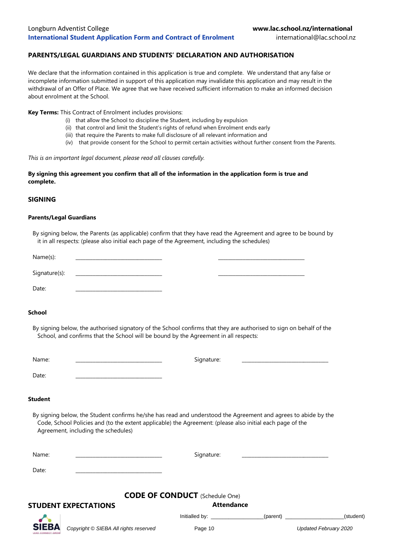## **PARENTS/LEGAL GUARDIANS AND STUDENTS' DECLARATION AND AUTHORISATION**

We declare that the information contained in this application is true and complete. We understand that any false or incomplete information submitted in support of this application may invalidate this application and may result in the withdrawal of an Offer of Place. We agree that we have received sufficient information to make an informed decision about enrolment at the School.

**Key Terms:** This Contract of Enrolment includes provisions:

- (i) that allow the School to discipline the Student, including by expulsion
- (ii) that control and limit the Student's rights of refund when Enrolment ends early
- (iii) that require the Parents to make full disclosure of all relevant information and
- (iv) that provide consent for the School to permit certain activities without further consent from the Parents.

#### *This is an important legal document, please read all clauses carefully.*

## **By signing this agreement you confirm that all of the information in the application form is true and complete.**

## **SIGNING**

#### **Parents/Legal Guardians**

By signing below, the Parents (as applicable) confirm that they have read the Agreement and agree to be bound by it in all respects: (please also initial each page of the Agreement, including the schedules)

| Name(s):      |  |  |
|---------------|--|--|
|               |  |  |
| Signature(s): |  |  |
|               |  |  |
| Date:         |  |  |

## **School**

By signing below, the authorised signatory of the School confirms that they are authorised to sign on behalf of the School, and confirms that the School will be bound by the Agreement in all respects:

| Name:           | Signature: |  |
|-----------------|------------|--|
| Date:           |            |  |
| القمام الممتعات |            |  |

#### **Student**

By signing below, the Student confirms he/she has read and understood the Agreement and agrees to abide by the Code, School Policies and (to the extent applicable) the Agreement: (please also initial each page of the Agreement, including the schedules)

| Name: | - -<br>Signature: | _______________________ |
|-------|-------------------|-------------------------|
| Date: |                   |                         |

## **CODE OF CONDUCT** (Schedule One)

## **STUDENT EXPECTATIONS Attendance**

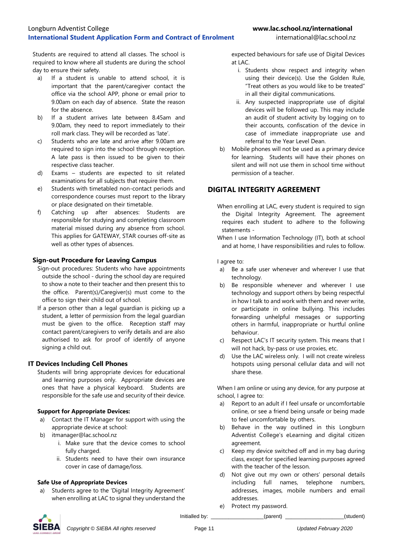Students are required to attend all classes. The school is required to know where all students are during the school day to ensure their safety.

- a) If a student is unable to attend school, it is important that the parent/caregiver contact the office via the school APP, phone or email prior to 9.00am on each day of absence. State the reason for the absence.
- b) If a student arrives late between 8.45am and 9.00am, they need to report immediately to their roll mark class. They will be recorded as 'late'.
- c) Students who are late and arrive after 9.00am are required to sign into the school through reception. A late pass is then issued to be given to their respective class teacher.
- d) Exams students are expected to sit related examinations for all subjects that require them.
- e) Students with timetabled non-contact periods and correspondence courses must report to the library or place designated on their timetable.
- f) Catching up after absences: Students are responsible for studying and completing classroom material missed during any absence from school. This applies for GATEWAY, STAR courses off-site as well as other types of absences.

## **Sign-out Procedure for Leaving Campus**

- Sign-out procedures: Students who have appointments outside the school - during the school day are required to show a note to their teacher and then present this to the office. Parent(s)/Caregiver(s) must come to the office to sign their child out of school.
- If a person other than a legal guardian is picking up a student, a letter of permission from the legal guardian must be given to the office. Reception staff may contact parent/caregivers to verify details and are also authorised to ask for proof of identify of anyone signing a child out.

## **IT Devices Including Cell Phones**

Students will bring appropriate devices for educational and learning purposes only. Appropriate devices are ones that have a physical keyboard. Students are responsible for the safe use and security of their device.

## **Support for Appropriate Devices:**

- a) Contact the IT Manager for support with using the appropriate device at school:
- b) itmanager@lac.school.nz
	- i. Make sure that the device comes to school fully charged.
	- ii. Students need to have their own insurance cover in case of damage/loss.

## **Safe Use of Appropriate Devices**

a) Students agree to the 'Digital Integrity Agreement' when enrolling at LAC to signal they understand the

expected behaviours for safe use of Digital Devices at  $LAC$ 

- i. Students show respect and integrity when using their device(s). Use the Golden Rule, "Treat others as you would like to be treated" in all their digital communications.
- ii. Any suspected inappropriate use of digital devices will be followed up. This may include an audit of student activity by logging on to their accounts, confiscation of the device in case of immediate inappropriate use and referral to the Year Level Dean.
- b) Mobile phones will not be used as a primary device for learning. Students will have their phones on silent and will not use them in school time without permission of a teacher.

## **DIGITAL INTEGRITY AGREEMENT**

When enrolling at LAC, every student is required to sign the Digital Integrity Agreement. The agreement requires each student to adhere to the following statements -

I agree to:

- a) Be a safe user whenever and wherever I use that technology.
- b) Be responsible whenever and wherever I use technology and support others by being respectful in how I talk to and work with them and never write, or participate in online bullying. This includes forwarding unhelpful messages or supporting others in harmful, inappropriate or hurtful online behaviour.
- c) Respect LAC's IT security system. This means that I will not hack, by-pass or use proxies, etc.
- d) Use the LAC wireless only. I will not create wireless hotspots using personal cellular data and will not share these.

When I am online or using any device, for any purpose at school, I agree to:

- a) Report to an adult if I feel unsafe or uncomfortable online, or see a friend being unsafe or being made to feel uncomfortable by others.
- b) Behave in the way outlined in this Longburn Adventist College's eLearning and digital citizen agreement.
- c) Keep my device switched off and in my bag during class, except for specified learning purposes agreed with the teacher of the lesson.
- d) Not give out my own or others' personal details including full names, telephone numbers, addresses, images, mobile numbers and email addresses.
- e) Protect my password.



When I use Information Technology (IT), both at school and at home, I have responsibilities and rules to follow.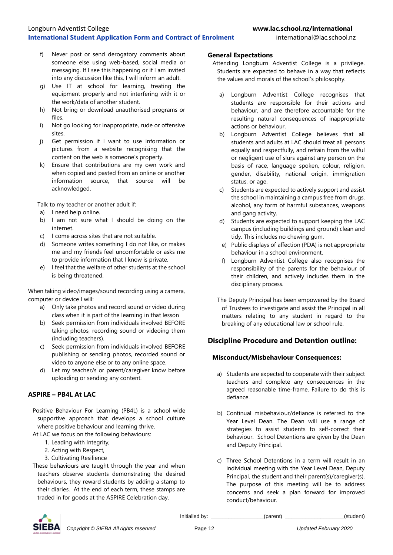- f) Never post or send derogatory comments about someone else using web-based, social media or messaging. If I see this happening or if I am invited into any discussion like this, I will inform an adult.
- g) Use IT at school for learning, treating the equipment properly and not interfering with it or the work/data of another student.
- h) Not bring or download unauthorised programs or files.
- i) Not go looking for inappropriate, rude or offensive sites.
- j) Get permission if I want to use information or pictures from a website recognising that the content on the web is someone's property.
- k) Ensure that contributions are my own work and when copied and pasted from an online or another information source, that source will be acknowledged.

Talk to my teacher or another adult if:

- a) I need help online.
- b) I am not sure what I should be doing on the internet.
- c) I come across sites that are not suitable.
- d) Someone writes something I do not like, or makes me and my friends feel uncomfortable or asks me to provide information that I know is private.
- e) I feel that the welfare of other students at the school is being threatened.

When taking video/images/sound recording using a camera, computer or device I will:

- a) Only take photos and record sound or video during class when it is part of the learning in that lesson
- b) Seek permission from individuals involved BEFORE taking photos, recording sound or videoing them (including teachers).
- c) Seek permission from individuals involved BEFORE publishing or sending photos, recorded sound or video to anyone else or to any online space.
- d) Let my teacher/s or parent/caregiver know before uploading or sending any content.

## **ASPIRE – PB4L At LAC**

Positive Behaviour For Learning (PB4L) is a school-wide supportive approach that develops a school culture where positive behaviour and learning thrive.

At LAC we focus on the following behaviours:

- 1. Leading with Integrity,
- 2. Acting with Respect,
- 3. Cultivating Resilience
- These behaviours are taught through the year and when teachers observe students demonstrating the desired behaviours, they reward students by adding a stamp to their diaries. At the end of each term, these stamps are traded in for goods at the ASPIRE Celebration day.

## **General Expectations**

- Attending Longburn Adventist College is a privilege. Students are expected to behave in a way that reflects the values and morals of the school's philosophy.
	- a) Longburn Adventist College recognises that students are responsible for their actions and behaviour, and are therefore accountable for the resulting natural consequences of inappropriate actions or behaviour.
	- b) Longburn Adventist College believes that all students and adults at LAC should treat all persons equally and respectfully, and refrain from the wilful or negligent use of slurs against any person on the basis of race, language spoken, colour, religion, gender, disability, national origin, immigration status, or age.
	- c) Students are expected to actively support and assist the school in maintaining a campus free from drugs, alcohol, any form of harmful substances, weapons and gang activity.
	- d) Students are expected to support keeping the LAC campus (including buildings and ground) clean and tidy. This includes no chewing gum.
	- e) Public displays of affection (PDA) is not appropriate behaviour in a school environment.
	- f) Longburn Adventist College also recognises the responsibility of the parents for the behaviour of their children, and actively includes them in the disciplinary process.

The Deputy Principal has been empowered by the Board of Trustees to investigate and assist the Principal in all matters relating to any student in regard to the breaking of any educational law or school rule.

## **Discipline Procedure and Detention outline:**

## **Misconduct/Misbehaviour Consequences:**

- a) Students are expected to cooperate with their subject teachers and complete any consequences in the agreed reasonable time-frame. Failure to do this is defiance.
- b) Continual misbehaviour/defiance is referred to the Year Level Dean. The Dean will use a range of strategies to assist students to self-correct their behaviour. School Detentions are given by the Dean and Deputy Principal.
- c) Three School Detentions in a term will result in an individual meeting with the Year Level Dean, Deputy Principal, the student and their parent(s)/caregiver(s). The purpose of this meeting will be to address concerns and seek a plan forward for improved conduct/behaviour.

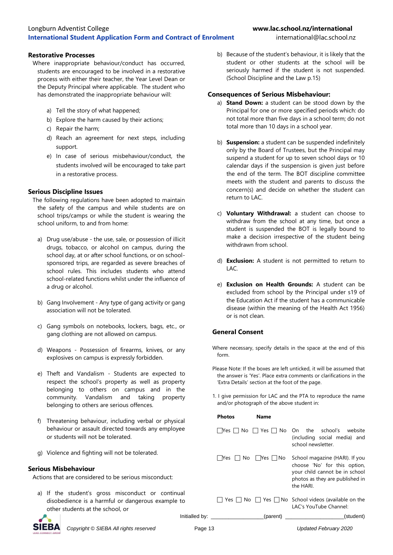## **International Student Application Form and Contract of Enrolment** international@lac.school.nz

### **Restorative Processes**

- Where inappropriate behaviour/conduct has occurred, students are encouraged to be involved in a restorative process with either their teacher, the Year Level Dean or the Deputy Principal where applicable. The student who has demonstrated the inappropriate behaviour will:
	- a) Tell the story of what happened;
	- b) Explore the harm caused by their actions;
	- c) Repair the harm;
	- d) Reach an agreement for next steps, including support.
	- e) In case of serious misbehaviour/conduct, the students involved will be encouraged to take part in a restorative process.

## **Serious Discipline Issues**

- The following regulations have been adopted to maintain the safety of the campus and while students are on school trips/camps or while the student is wearing the school uniform, to and from home:
	- a) Drug use/abuse the use, sale, or possession of illicit drugs, tobacco, or alcohol on campus, during the school day, at or after school functions, or on schoolsponsored trips, are regarded as severe breaches of school rules. This includes students who attend school-related functions whilst under the influence of a drug or alcohol.
	- b) Gang Involvement Any type of gang activity or gang association will not be tolerated.
	- c) Gang symbols on notebooks, lockers, bags, etc., or gang clothing are not allowed on campus.
	- d) Weapons Possession of firearms, knives, or any explosives on campus is expressly forbidden.
	- e) Theft and Vandalism Students are expected to respect the school's property as well as property belonging to others on campus and in the community. Vandalism and taking property belonging to others are serious offences.
	- f) Threatening behaviour, including verbal or physical behaviour or assault directed towards any employee or students will not be tolerated.
	- g) Violence and fighting will not be tolerated.

## **Serious Misbehaviour**

Actions that are considered to be serious misconduct:

a) If the student's gross misconduct or continual disobedience is a harmful or dangerous example to other students at the school, or



*Copyright © SIEBA All rights reserved* Page

## Longburn Adventist College **www.lac.school.nz/international**

b) Because of the student's behaviour, it is likely that the student or other students at the school will be seriously harmed if the student is not suspended. (School Discipline and the Law p.15)

## **Consequences of Serious Misbehaviour:**

- a) **Stand Down:** a student can be stood down by the Principal for one or more specified periods which: do not total more than five days in a school term; do not total more than 10 days in a school year.
- b) **Suspension:** a student can be suspended indefinitely only by the Board of Trustees, but the Principal may suspend a student for up to seven school days or 10 calendar days if the suspension is given just before the end of the term. The BOT discipline committee meets with the student and parents to discuss the concern(s) and decide on whether the student can return to LAC.
- c) **Voluntary Withdrawal:** a student can choose to withdraw from the school at any time, but once a student is suspended the BOT is legally bound to make a decision irrespective of the student being withdrawn from school.
- d) **Exclusion:** A student is not permitted to return to LAC.
- e) **Exclusion on Health Grounds:** A student can be excluded from school by the Principal under s19 of the Education Act if the student has a communicable disease (within the meaning of the Health Act 1956) or is not clean.

## **General Consent**

- Where necessary, specify details in the space at the end of this form.
- Please Note: If the boxes are left unticked, it will be assumed that the answer is 'Yes'. Place extra comments or clarifications in the 'Extra Details' section at the foot of the page.
- 1. I give permission for LAC and the PTA to reproduce the name and/or photograph of the above student in:

|    | Photos       | Name      |                                                                                                                                                 |
|----|--------------|-----------|-------------------------------------------------------------------------------------------------------------------------------------------------|
|    |              |           | $Nes$     No   $\top$ Yes $\top$ No On the school's website<br>(including social media) and<br>school newsletter                                |
|    | No l<br>lYes | Yes   INo | School magazine (HARI). If you<br>choose 'No' for this option,<br>your child cannot be in school<br>photos as they are published in<br>the HARI |
|    | Yes IINo     |           | $\Box$ Yes $\Box$ No School videos (available on the<br>LAC's YouTube Channel:                                                                  |
|    |              |           | (parent)<br>(student)                                                                                                                           |
| 13 |              |           | Updated February 2020                                                                                                                           |

Initialled by: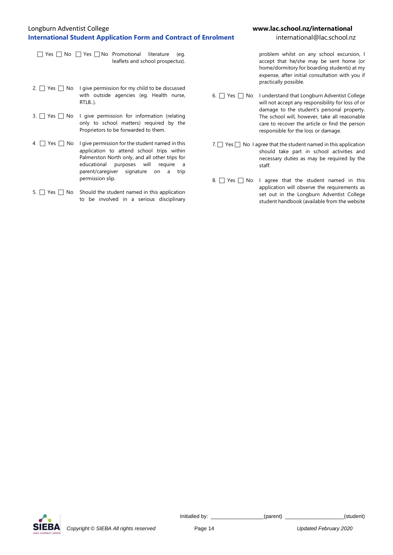## Longburn Adventist College **www.lac.school.nz/international International Student Application Form and Contract of Enrolment** international@lac.school.nz

■ Yes 
■ No 
■ Yes 
■ Yes 
■ Yes 
■ Yes 
■ Yes 
■ Yes 
■ Yes 
■ Yes 
■ Yes 
■ Yes 
■ Yes 
■ Yes 
■ Yes 
■ Yes 
■ Yes 

■ Yes 

Bure Promotional literature (eg. leaflets and school prospectus).

- 2.  $\Box$  Yes  $\Box$  No I give permission for my child to be discussed with outside agencies (eg. Health nurse, RTLB..).
- 3.  $\Box$  Yes  $\Box$  No I give permission for information (relating only to school matters) required by the Proprietors to be forwarded to them.
- $4 \cap Y$ es  $\cap$  No I give permission for the student named in this application to attend school trips within Palmerston North only, and all other trips for educational purposes will require a parent/caregiver signature on a trip permission slip.
- 5.  $\Box$  Yes  $\Box$  No Should the student named in this application to be involved in a serious disciplinary

problem whilst on any school excursion, I accept that he/she may be sent home (or home/dormitory for boarding students) at my expense, after initial consultation with you if practically possible.

- 6. Yes No I understand that Longburn Adventist College will not accept any responsibility for loss of or damage to the student's personal property. The school will, however, take all reasonable care to recover the article or find the person responsible for the loss or damage.
- 7.  $\Box$  Yes  $\Box$  No I agree that the student named in this application should take part in school activities and necessary duties as may be required by the staff.
- 8.  $\Box$  Yes  $\Box$  No I agree that the student named in this application will observe the requirements as set out in the Longburn Adventist College student handbook (available from the website

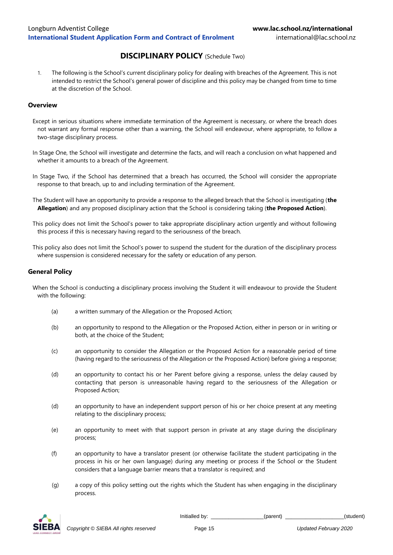## **DISCIPLINARY POLICY** (Schedule Two)

1. The following is the School's current disciplinary policy for dealing with breaches of the Agreement. This is not intended to restrict the School's general power of discipline and this policy may be changed from time to time at the discretion of the School.

## **Overview**

- Except in serious situations where immediate termination of the Agreement is necessary, or where the breach does not warrant any formal response other than a warning, the School will endeavour, where appropriate, to follow a two-stage disciplinary process.
- In Stage One, the School will investigate and determine the facts, and will reach a conclusion on what happened and whether it amounts to a breach of the Agreement.
- In Stage Two, if the School has determined that a breach has occurred, the School will consider the appropriate response to that breach, up to and including termination of the Agreement.
- The Student will have an opportunity to provide a response to the alleged breach that the School is investigating (**the Allegation**) and any proposed disciplinary action that the School is considering taking (**the Proposed Action**).
- This policy does not limit the School's power to take appropriate disciplinary action urgently and without following this process if this is necessary having regard to the seriousness of the breach.
- This policy also does not limit the School's power to suspend the student for the duration of the disciplinary process where suspension is considered necessary for the safety or education of any person.

## **General Policy**

When the School is conducting a disciplinary process involving the Student it will endeavour to provide the Student with the following:

- (a) a written summary of the Allegation or the Proposed Action;
- (b) an opportunity to respond to the Allegation or the Proposed Action, either in person or in writing or both, at the choice of the Student;
- (c) an opportunity to consider the Allegation or the Proposed Action for a reasonable period of time (having regard to the seriousness of the Allegation or the Proposed Action) before giving a response;
- (d) an opportunity to contact his or her Parent before giving a response, unless the delay caused by contacting that person is unreasonable having regard to the seriousness of the Allegation or Proposed Action;
- (d) an opportunity to have an independent support person of his or her choice present at any meeting relating to the disciplinary process;
- (e) an opportunity to meet with that support person in private at any stage during the disciplinary process;
- (f) an opportunity to have a translator present (or otherwise facilitate the student participating in the process in his or her own language) during any meeting or process if the School or the Student considers that a language barrier means that a translator is required; and
- (g) a copy of this policy setting out the rights which the Student has when engaging in the disciplinary process.

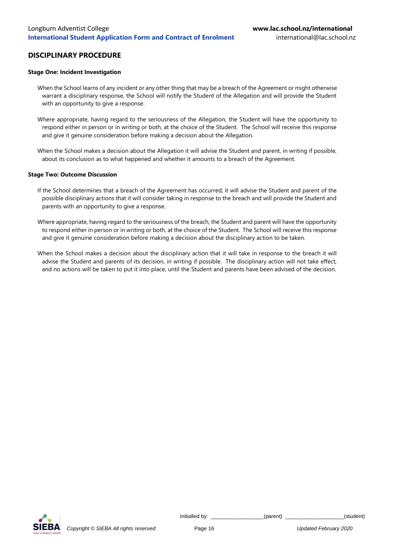## **DISCIPLINARY PROCEDURE**

#### **Stage One: Incident Investigation**

When the School learns of any incident or any other thing that may be a breach of the Agreement or might otherwise warrant a disciplinary response, the School will notify the Student of the Allegation and will provide the Student with an opportunity to give a response.

Where appropriate, having regard to the seriousness of the Allegation, the Student will have the opportunity to respond either in person or in writing or both, at the choice of the Student. The School will receive this response and give it genuine consideration before making a decision about the Allegation.

When the School makes a decision about the Allegation it will advise the Student and parent, in writing if possible, about its conclusion as to what happened and whether it amounts to a breach of the Agreement.

#### **Stage Two: Outcome Discussion**

- If the School determines that a breach of the Agreement has occurred, it will advise the Student and parent of the possible disciplinary actions that it will consider taking in response to the breach and will provide the Student and parents with an opportunity to give a response.
- Where appropriate, having regard to the seriousness of the breach, the Student and parent will have the opportunity to respond either in person or in writing or both, at the choice of the Student. The School will receive this response and give it genuine consideration before making a decision about the disciplinary action to be taken.
- When the School makes a decision about the disciplinary action that it will take in response to the breach it will advise the Student and parents of its decision, in writing if possible. The disciplinary action will not take effect, and no actions will be taken to put it into place, until the Student and parents have been advised of the decision.

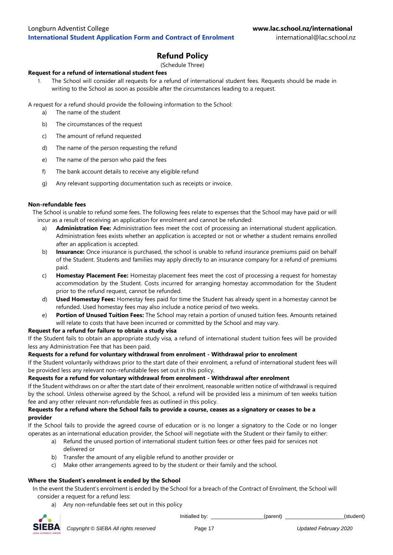## **Refund Policy**

## (Schedule Three)

## **Request for a refund of international student fees**

1. The School will consider all requests for a refund of international student fees. Requests should be made in writing to the School as soon as possible after the circumstances leading to a request.

A request for a refund should provide the following information to the School:

- a) The name of the student
- b) The circumstances of the request
- c) The amount of refund requested
- d) The name of the person requesting the refund
- e) The name of the person who paid the fees
- f) The bank account details to receive any eligible refund
- g) Any relevant supporting documentation such as receipts or invoice.

## **Non-refundable fees**

The School is unable to refund some fees. The following fees relate to expenses that the School may have paid or will incur as a result of receiving an application for enrolment and cannot be refunded:

- a) **Administration Fee:** Administration fees meet the cost of processing an international student application. Administration fees exists whether an application is accepted or not or whether a student remains enrolled after an application is accepted.
- b) **Insurance:** Once insurance is purchased, the school is unable to refund insurance premiums paid on behalf of the Student. Students and families may apply directly to an insurance company for a refund of premiums paid.
- c) **Homestay Placement Fee:** Homestay placement fees meet the cost of processing a request for homestay accommodation by the Student. Costs incurred for arranging homestay accommodation for the Student prior to the refund request, cannot be refunded.
- d) **Used Homestay Fees:** Homestay fees paid for time the Student has already spent in a homestay cannot be refunded. Used homestay fees may also include a notice period of two weeks.
- e) **Portion of Unused Tuition Fees:** The School may retain a portion of unused tuition fees. Amounts retained will relate to costs that have been incurred or committed by the School and may vary.

## **Request for a refund for failure to obtain a study visa**

If the Student fails to obtain an appropriate study visa, a refund of international student tuition fees will be provided less any Administration Fee that has been paid.

## **Requests for a refund for voluntary withdrawal from enrolment - Withdrawal prior to enrolment**

If the Student voluntarily withdraws prior to the start date of their enrolment, a refund of international student fees will be provided less any relevant non-refundable fees set out in this policy.

## **Requests for a refund for voluntary withdrawal from enrolment - Withdrawal after enrolment**

If the Student withdraws on or after the start date of their enrolment, reasonable written notice of withdrawal is required by the school. Unless otherwise agreed by the School, a refund will be provided less a minimum of ten weeks tuition fee and any other relevant non-refundable fees as outlined in this policy.

## **Requests for a refund where the School fails to provide a course, ceases as a signatory or ceases to be a provider**

If the School fails to provide the agreed course of education or is no longer a signatory to the Code or no longer operates as an international education provider, the School will negotiate with the Student or their family to either:

- a) Refund the unused portion of international student tuition fees or other fees paid for services not delivered or
- b) Transfer the amount of any eligible refund to another provider or
- c) Make other arrangements agreed to by the student or their family and the school.

## **Where the Student's enrolment is ended by the School**

In the event the Student's enrolment is ended by the School for a breach of the Contract of Enrolment, the School will consider a request for a refund less:

a) Any non-refundable fees set out in this policy

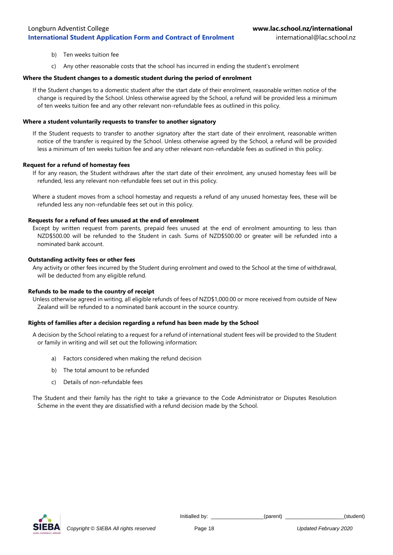- b) Ten weeks tuition fee
- c) Any other reasonable costs that the school has incurred in ending the student's enrolment

### **Where the Student changes to a domestic student during the period of enrolment**

If the Student changes to a domestic student after the start date of their enrolment, reasonable written notice of the change is required by the School. Unless otherwise agreed by the School, a refund will be provided less a minimum of ten weeks tuition fee and any other relevant non-refundable fees as outlined in this policy.

### **Where a student voluntarily requests to transfer to another signatory**

If the Student requests to transfer to another signatory after the start date of their enrolment, reasonable written notice of the transfer is required by the School. Unless otherwise agreed by the School, a refund will be provided less a minimum of ten weeks tuition fee and any other relevant non-refundable fees as outlined in this policy.

#### **Request for a refund of homestay fees**

If for any reason, the Student withdraws after the start date of their enrolment, any unused homestay fees will be refunded, less any relevant non-refundable fees set out in this policy.

Where a student moves from a school homestay and requests a refund of any unused homestay fees, these will be refunded less any non-refundable fees set out in this policy.

#### **Requests for a refund of fees unused at the end of enrolment**

Except by written request from parents, prepaid fees unused at the end of enrolment amounting to less than NZD\$500.00 will be refunded to the Student in cash. Sums of NZD\$500.00 or greater will be refunded into a nominated bank account.

## **Outstanding activity fees or other fees**

Any activity or other fees incurred by the Student during enrolment and owed to the School at the time of withdrawal, will be deducted from any eligible refund.

#### **Refunds to be made to the country of receipt**

Unless otherwise agreed in writing, all eligible refunds of fees of NZD\$1,000.00 or more received from outside of New Zealand will be refunded to a nominated bank account in the source country.

## **Rights of families after a decision regarding a refund has been made by the School**

A decision by the School relating to a request for a refund of international student fees will be provided to the Student or family in writing and will set out the following information:

- a) Factors considered when making the refund decision
- b) The total amount to be refunded
- c) Details of non-refundable fees

The Student and their family has the right to take a grievance to the Code Administrator or Disputes Resolution Scheme in the event they are dissatisfied with a refund decision made by the School.

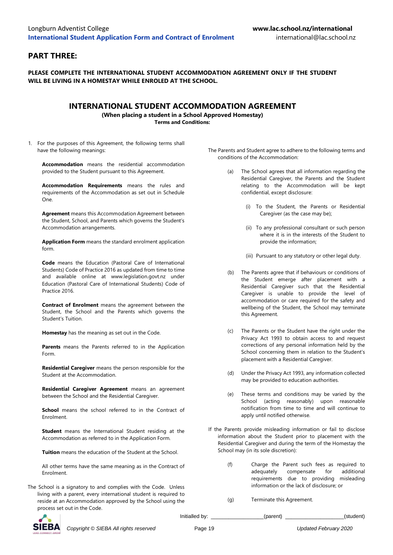## **PART THREE:**

**PLEASE COMPLETE THE INTERNATIONAL STUDENT ACCOMMODATION AGREEMENT ONLY IF THE STUDENT WILL BE LIVING IN A HOMESTAY WHILE ENROLED AT THE SCHOOL.**

## **INTERNATIONAL STUDENT ACCOMMODATION AGREEMENT**

**(When placing a student in a School Approved Homestay) Terms and Conditions:**

1. For the purposes of this Agreement, the following terms shall have the following meanings:

**Accommodation** means the residential accommodation provided to the Student pursuant to this Agreement.

**Accommodation Requirements** means the rules and requirements of the Accommodation as set out in Schedule One.

**Agreement** means this Accommodation Agreement between the Student, School, and Parents which governs the Student's Accommodation arrangements.

**Application Form** means the standard enrolment application form.

**Code** means the Education (Pastoral Care of International Students) Code of Practice 2016 as updated from time to time and available online at www.legislation.govt.nz under Education (Pastoral Care of International Students) Code of Practice 2016.

**Contract of Enrolment** means the agreement between the Student, the School and the Parents which governs the Student's Tuition.

**Homestay** has the meaning as set out in the Code.

**Parents** means the Parents referred to in the Application Form.

**Residential Caregiver** means the person responsible for the Student at the Accommodation.

**Residential Caregiver Agreement** means an agreement between the School and the Residential Caregiver.

**School** means the school referred to in the Contract of Enrolment.

**Student** means the International Student residing at the Accommodation as referred to in the Application Form.

**Tuition** means the education of the Student at the School.

All other terms have the same meaning as in the Contract of Enrolment.

The School is a signatory to and complies with the Code. Unless living with a parent, every international student is required to reside at an Accommodation approved by the School using the process set out in the Code.

- The Parents and Student agree to adhere to the following terms and conditions of the Accommodation:
	- The School agrees that all information regarding the Residential Caregiver, the Parents and the Student relating to the Accommodation will be kept confidential, except disclosure:
		- (i) To the Student, the Parents or Residential Caregiver (as the case may be);
		- (ii) To any professional consultant or such person where it is in the interests of the Student to provide the information;
		- (iii) Pursuant to any statutory or other legal duty.
	- (b) The Parents agree that if behaviours or conditions of the Student emerge after placement with a Residential Caregiver such that the Residential Caregiver is unable to provide the level of accommodation or care required for the safety and wellbeing of the Student, the School may terminate this Agreement.
	- (c) The Parents or the Student have the right under the Privacy Act 1993 to obtain access to and request corrections of any personal information held by the School concerning them in relation to the Student's placement with a Residential Caregiver.
	- (d) Under the Privacy Act 1993, any information collected may be provided to education authorities.
	- (e) These terms and conditions may be varied by the School (acting reasonably) upon reasonable notification from time to time and will continue to apply until notified otherwise.
- If the Parents provide misleading information or fail to disclose information about the Student prior to placement with the Residential Caregiver and during the term of the Homestay the School may (in its sole discretion):
	- (f) Charge the Parent such fees as required to adequately compensate for additional requirements due to providing misleading information or the lack of disclosure; or
	- (g) Terminate this Agreement.



*Copyright © SIEBA All rights reserved* Page 19 *Updated February 2020*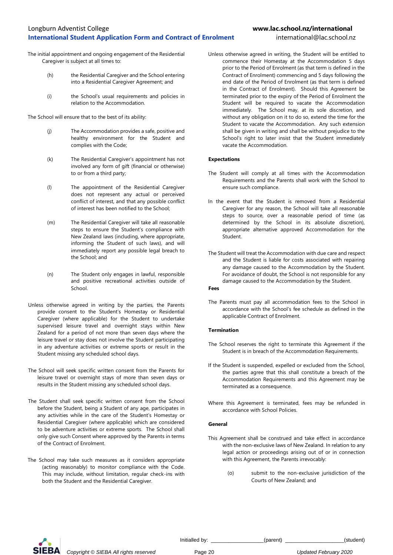- The initial appointment and ongoing engagement of the Residential Caregiver is subject at all times to:
	- (h) the Residential Caregiver and the School entering into a Residential Caregiver Agreement; and
	- (i) the School's usual requirements and policies in relation to the Accommodation.

The School will ensure that to the best of its ability:

- (j) The Accommodation provides a safe, positive and healthy environment for the Student and complies with the Code;
- (k) The Residential Caregiver's appointment has not involved any form of gift (financial or otherwise) to or from a third party;
- (l) The appointment of the Residential Caregiver does not represent any actual or perceived conflict of interest, and that any possible conflict of interest has been notified to the School;
- (m) The Residential Caregiver will take all reasonable steps to ensure the Student's compliance with New Zealand laws (including, where appropriate, informing the Student of such laws), and will immediately report any possible legal breach to the School; and
- (n) The Student only engages in lawful, responsible and positive recreational activities outside of School.
- Unless otherwise agreed in writing by the parties, the Parents provide consent to the Student's Homestay or Residential Caregiver (where applicable) for the Student to undertake supervised leisure travel and overnight stays within New Zealand for a period of not more than seven days where the leisure travel or stay does not involve the Student participating in any adventure activities or extreme sports or result in the Student missing any scheduled school days.
- The School will seek specific written consent from the Parents for leisure travel or overnight stays of more than seven days or results in the Student missing any scheduled school days.
- The Student shall seek specific written consent from the School before the Student, being a Student of any age, participates in any activities while in the care of the Student's Homestay or Residential Caregiver (where applicable) which are considered to be adventure activities or extreme sports. The School shall only give such Consent where approved by the Parents in terms of the Contract of Enrolment.
- The School may take such measures as it considers appropriate (acting reasonably) to monitor compliance with the Code. This may include, without limitation, regular check-ins with both the Student and the Residential Caregiver.

Unless otherwise agreed in writing, the Student will be entitled to commence their Homestay at the Accommodation 5 days prior to the Period of Enrolment (as that term is defined in the Contract of Enrolment) commencing and 5 days following the end date of the Period of Enrolment (as that term is defined in the Contract of Enrolment). Should this Agreement be terminated prior to the expiry of the Period of Enrolment the Student will be required to vacate the Accommodation immediately. The School may, at its sole discretion, and without any obligation on it to do so, extend the time for the Student to vacate the Accommodation. Any such extension shall be given in writing and shall be without prejudice to the School's right to later insist that the Student immediately vacate the Accommodation.

#### **Expectations**

- The Student will comply at all times with the Accommodation Requirements and the Parents shall work with the School to ensure such compliance.
- In the event that the Student is removed from a Residential Caregiver for any reason, the School will take all reasonable steps to source, over a reasonable period of time (as determined by the School in its absolute discretion), appropriate alternative approved Accommodation for the Student.
- The Student will treat the Accommodation with due care and respect and the Student is liable for costs associated with repairing any damage caused to the Accommodation by the Student. For avoidance of doubt, the School is not responsible for any damage caused to the Accommodation by the Student.

#### **Fees**

The Parents must pay all accommodation fees to the School in accordance with the School's fee schedule as defined in the applicable Contract of Enrolment.

#### **Termination**

- The School reserves the right to terminate this Agreement if the Student is in breach of the Accommodation Requirements.
- If the Student is suspended, expelled or excluded from the School, the parties agree that this shall constitute a breach of the Accommodation Requirements and this Agreement may be terminated as a consequence.
- Where this Agreement is terminated, fees may be refunded in accordance with School Policies.

#### **General**

- This Agreement shall be construed and take effect in accordance with the non-exclusive laws of New Zealand. In relation to any legal action or proceedings arising out of or in connection with this Agreement, the Parents irrevocably:
	- (o) submit to the non-exclusive jurisdiction of the Courts of New Zealand; and



*Copyright © SIEBA All rights reserved* Page 20 *Updated February 2020*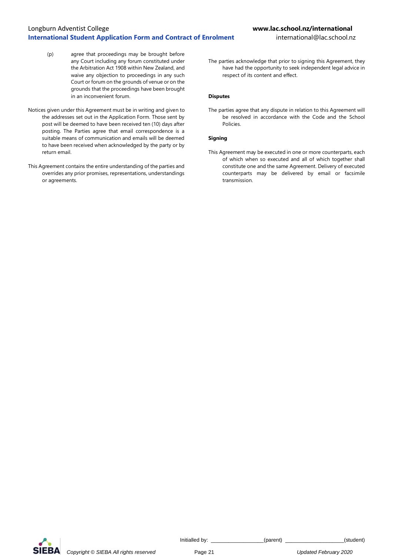## Longburn Adventist College **www.lac.school.nz/international International Student Application Form and Contract of Enrolment** international@lac.school.nz

- (p) agree that proceedings may be brought before any Court including any forum constituted under the Arbitration Act 1908 within New Zealand, and waive any objection to proceedings in any such Court or forum on the grounds of venue or on the grounds that the proceedings have been brought in an inconvenient forum.
- Notices given under this Agreement must be in writing and given to the addresses set out in the Application Form. Those sent by post will be deemed to have been received ten (10) days after posting. The Parties agree that email correspondence is a suitable means of communication and emails will be deemed to have been received when acknowledged by the party or by return email.
- This Agreement contains the entire understanding of the parties and overrides any prior promises, representations, understandings or agreements.

The parties acknowledge that prior to signing this Agreement, they have had the opportunity to seek independent legal advice in respect of its content and effect.

## **Disputes**

The parties agree that any dispute in relation to this Agreement will be resolved in accordance with the Code and the School Policies.

## **Signing**

This Agreement may be executed in one or more counterparts, each of which when so executed and all of which together shall constitute one and the same Agreement. Delivery of executed counterparts may be delivered by email or facsimile transmission.

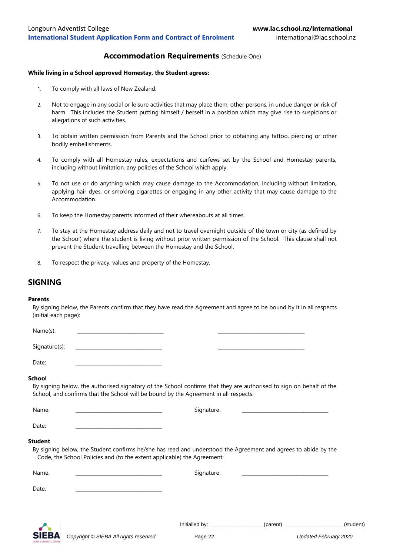## **Accommodation Requirements** (Schedule One)

#### **While living in a School approved Homestay, the Student agrees:**

- 1. To comply with all laws of New Zealand.
- 2. Not to engage in any social or leisure activities that may place them, other persons, in undue danger or risk of harm. This includes the Student putting himself / herself in a position which may give rise to suspicions or allegations of such activities.
- 3. To obtain written permission from Parents and the School prior to obtaining any tattoo, piercing or other bodily embellishments.
- 4. To comply with all Homestay rules, expectations and curfews set by the School and Homestay parents, including without limitation, any policies of the School which apply.
- 5. To not use or do anything which may cause damage to the Accommodation, including without limitation, applying hair dyes, or smoking cigarettes or engaging in any other activity that may cause damage to the Accommodation.
- 6. To keep the Homestay parents informed of their whereabouts at all times.
- 7. To stay at the Homestay address daily and not to travel overnight outside of the town or city (as defined by the School) where the student is living without prior written permission of the School. This clause shall not prevent the Student travelling between the Homestay and the School.
- 8. To respect the privacy, values and property of the Homestay.

## **SIGNING**

#### **Parents**

By signing below, the Parents confirm that they have read the Agreement and agree to be bound by it in all respects (initial each page):

Name(s): \_\_\_\_\_\_\_\_\_\_\_\_\_\_\_\_\_\_\_\_\_\_\_\_\_\_\_\_\_\_\_\_\_\_\_ \_\_\_\_\_\_\_\_\_\_\_\_\_\_\_\_\_\_\_\_\_\_\_\_\_\_\_\_\_\_\_\_\_\_\_

Signature(s):

Date:

### **School**

By signing below, the authorised signatory of the School confirms that they are authorised to sign on behalf of the School, and confirms that the School will be bound by the Agreement in all respects:

| Name:          | Signature:                                                                                                                                                                                |  |
|----------------|-------------------------------------------------------------------------------------------------------------------------------------------------------------------------------------------|--|
| Date:          |                                                                                                                                                                                           |  |
| <b>Student</b> | By signing below, the Student confirms he/she has read and understood the Agreement and agrees to abide by the<br>Code, the School Policies and (to the extent applicable) the Agreement: |  |
| Name:          | Sianature:                                                                                                                                                                                |  |

Date: \_\_\_\_\_\_\_\_\_\_\_\_\_\_\_\_\_\_\_\_\_\_\_\_\_\_\_\_\_\_\_\_\_\_\_

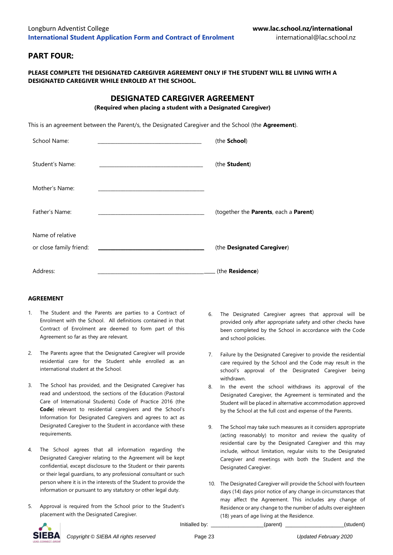## **PART FOUR:**

## **PLEASE COMPLETE THE DESIGNATED CAREGIVER AGREEMENT ONLY IF THE STUDENT WILL BE LIVING WITH A DESIGNATED CAREGIVER WHILE ENROLED AT THE SCHOOL.**

## **DESIGNATED CAREGIVER AGREEMENT**

**(Required when placing a student with a Designated Caregiver)**

This is an agreement between the Parent/s, the Designated Caregiver and the School (the **Agreement**).

| School Name:                                |                                                                                 | (the School)                          |
|---------------------------------------------|---------------------------------------------------------------------------------|---------------------------------------|
| Student's Name:                             |                                                                                 | (the Student)                         |
| Mother's Name:                              | the contract of the contract of the contract of the contract of the contract of |                                       |
| Father's Name:                              |                                                                                 | (together the Parents, each a Parent) |
| Name of relative<br>or close family friend: |                                                                                 | (the Designated Caregiver)            |
| Address:                                    |                                                                                 | (the <b>Residence</b> )               |

## **AGREEMENT**

- 1. The Student and the Parents are parties to a Contract of Enrolment with the School. All definitions contained in that Contract of Enrolment are deemed to form part of this Agreement so far as they are relevant.
- 2. The Parents agree that the Designated Caregiver will provide residential care for the Student while enrolled as an international student at the School.
- 3. The School has provided, and the Designated Caregiver has read and understood, the sections of the Education (Pastoral Care of International Students) Code of Practice 2016 (the **Code**) relevant to residential caregivers and the School's Information for Designated Caregivers and agrees to act as Designated Caregiver to the Student in accordance with these requirements.
- 4. The School agrees that all information regarding the Designated Caregiver relating to the Agreement will be kept confidential, except disclosure to the Student or their parents or their legal guardians, to any professional consultant or such person where it is in the interests of the Student to provide the information or pursuant to any statutory or other legal duty.
- 5. Approval is required from the School prior to the Student's placement with the Designated Caregiver.
- 6. The Designated Caregiver agrees that approval will be provided only after appropriate safety and other checks have been completed by the School in accordance with the Code and school policies.
- 7. Failure by the Designated Caregiver to provide the residential care required by the School and the Code may result in the school's approval of the Designated Caregiver being withdrawn.
- 8. In the event the school withdraws its approval of the Designated Caregiver, the Agreement is terminated and the Student will be placed in alternative accommodation approved by the School at the full cost and expense of the Parents.
- 9. The School may take such measures as it considers appropriate (acting reasonably) to monitor and review the quality of residential care by the Designated Caregiver and this may include, without limitation, regular visits to the Designated Caregiver and meetings with both the Student and the Designated Caregiver.
- 10. The Designated Caregiver will provide the School with fourteen days (14) days prior notice of any change in circumstances that may affect the Agreement. This includes any change of Residence or any change to the number of adults over eighteen (18) years of age living at the Residence.